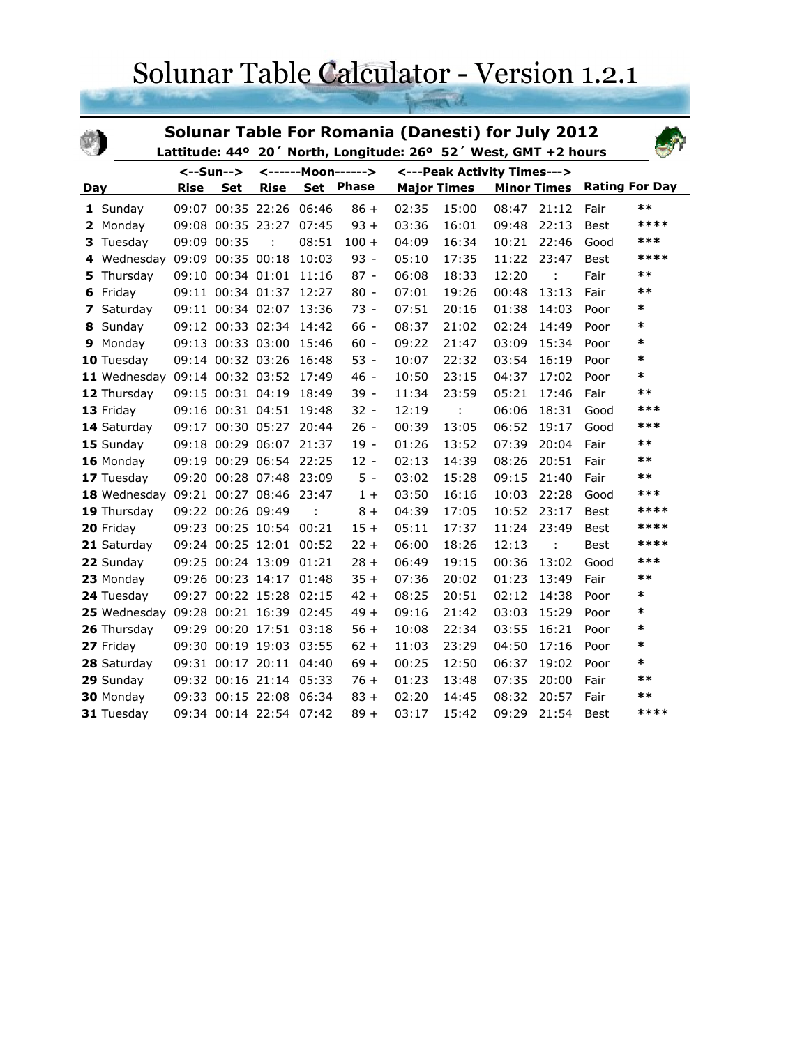## Solunar Table Calculator - Version 1.2.1

| Solunar Table For Romania (Danesti) for July 2012<br>Lattitude: 44° 20' North, Longitude: 26° 52' West, GMT +2 hours |              |             |                   |                         |       |                             |       |                    |       |                    |                       |        |
|----------------------------------------------------------------------------------------------------------------------|--------------|-------------|-------------------|-------------------------|-------|-----------------------------|-------|--------------------|-------|--------------------|-----------------------|--------|
|                                                                                                                      |              | <--Sun-->   |                   | <------Moon------>      |       | <---Peak Activity Times---> |       |                    |       |                    |                       |        |
| Day                                                                                                                  |              | <b>Rise</b> | <b>Set</b>        | <b>Rise</b>             |       | Set Phase                   |       | <b>Major Times</b> |       | <b>Minor Times</b> | <b>Rating For Day</b> |        |
|                                                                                                                      | 1 Sunday     |             |                   | 09:07 00:35 22:26       | 06:46 | $86 +$                      | 02:35 | 15:00              | 08:47 | 21:12              | Fair                  | $**$   |
|                                                                                                                      | 2 Monday     |             |                   | 09:08 00:35 23:27       | 07:45 | $93 +$                      | 03:36 | 16:01              | 09:48 | 22:13              | Best                  | ****   |
|                                                                                                                      | 3 Tuesday    |             | 09:09 00:35       | t                       | 08:51 | $100 +$                     | 04:09 | 16:34              | 10:21 | 22:46              | Good                  | ***    |
| 4                                                                                                                    | Wednesday    |             | 09:09 00:35 00:18 |                         | 10:03 | $93 -$                      | 05:10 | 17:35              | 11:22 | 23:47              | Best                  | ****   |
| 5                                                                                                                    | Thursday     |             | 09:10 00:34 01:01 |                         | 11:16 | $87 -$                      | 06:08 | 18:33              | 12:20 | ÷                  | Fair                  | $***$  |
| 6                                                                                                                    | Friday       |             |                   | 09:11 00:34 01:37 12:27 |       | $80 -$                      | 07:01 | 19:26              | 00:48 | 13:13              | Fair                  | $***$  |
| 7                                                                                                                    | Saturday     |             |                   | 09:11 00:34 02:07 13:36 |       | $73 -$                      | 07:51 | 20:16              | 01:38 | 14:03              | Poor                  | *      |
| 8                                                                                                                    | Sunday       |             |                   | 09:12 00:33 02:34 14:42 |       | $66 -$                      | 08:37 | 21:02              | 02:24 | 14:49              | Poor                  | $\ast$ |
| 9                                                                                                                    | Monday       |             | 09:13 00:33 03:00 |                         | 15:46 | $60 -$                      | 09:22 | 21:47              | 03:09 | 15:34              | Poor                  | $\ast$ |
|                                                                                                                      | 10 Tuesday   |             | 09:14 00:32 03:26 |                         | 16:48 | $53 -$                      | 10:07 | 22:32              | 03:54 | 16:19              | Poor                  | $\ast$ |
|                                                                                                                      | 11 Wednesday |             |                   | 09:14 00:32 03:52       | 17:49 | $46 -$                      | 10:50 | 23:15              | 04:37 | 17:02              | Poor                  | $\ast$ |
|                                                                                                                      | 12 Thursday  |             | 09:15 00:31 04:19 |                         | 18:49 | $39 -$                      | 11:34 | 23:59              | 05:21 | 17:46              | Fair                  | $**$   |
|                                                                                                                      | 13 Friday    |             |                   | 09:16 00:31 04:51       | 19:48 | $32 -$                      | 12:19 | ÷                  | 06:06 | 18:31              | Good                  | ***    |
|                                                                                                                      | 14 Saturday  |             |                   | 09:17 00:30 05:27       | 20:44 | $26 -$                      | 00:39 | 13:05              | 06:52 | 19:17              | Good                  | ***    |
|                                                                                                                      | 15 Sunday    |             |                   | 09:18 00:29 06:07       | 21:37 | $19 -$                      | 01:26 | 13:52              | 07:39 | 20:04              | Fair                  | $***$  |
|                                                                                                                      | 16 Monday    |             |                   | 09:19 00:29 06:54       | 22:25 | $12 -$                      | 02:13 | 14:39              | 08:26 | 20:51              | Fair                  | $***$  |
|                                                                                                                      | 17 Tuesday   |             |                   | 09:20 00:28 07:48       | 23:09 | $5 -$                       | 03:02 | 15:28              | 09:15 | 21:40              | Fair                  | $***$  |
|                                                                                                                      | 18 Wednesday |             |                   | 09:21 00:27 08:46       | 23:47 | $1+$                        | 03:50 | 16:16              | 10:03 | 22:28              | Good                  | ***    |
|                                                                                                                      | 19 Thursday  |             | 09:22 00:26 09:49 |                         |       | $8+$                        | 04:39 | 17:05              | 10:52 | 23:17              | Best                  | ****   |
|                                                                                                                      | 20 Friday    |             |                   | 09:23 00:25 10:54       | 00:21 | $15 +$                      | 05:11 | 17:37              | 11:24 | 23:49              | <b>Best</b>           | ****   |
|                                                                                                                      | 21 Saturday  |             |                   | 09:24 00:25 12:01 00:52 |       | $22 +$                      | 06:00 | 18:26              | 12:13 |                    | Best                  | ****   |
|                                                                                                                      | 22 Sunday    |             |                   | 09:25 00:24 13:09       | 01:21 | $28 +$                      | 06:49 | 19:15              | 00:36 | 13:02              | Good                  | ***    |
|                                                                                                                      | 23 Monday    |             |                   | 09:26 00:23 14:17       | 01:48 | $35 +$                      | 07:36 | 20:02              | 01:23 | 13:49              | Fair                  | $***$  |
|                                                                                                                      | 24 Tuesday   |             |                   | 09:27 00:22 15:28       | 02:15 | $42 +$                      | 08:25 | 20:51              | 02:12 | 14:38              | Poor                  | *      |
|                                                                                                                      | 25 Wednesday |             |                   | 09:28 00:21 16:39       | 02:45 | $49 +$                      | 09:16 | 21:42              | 03:03 | 15:29              | Poor                  | $\ast$ |
|                                                                                                                      | 26 Thursday  |             |                   | 09:29 00:20 17:51       | 03:18 | $56 +$                      | 10:08 | 22:34              | 03:55 | 16:21              | Poor                  | *      |
|                                                                                                                      | 27 Friday    |             |                   | 09:30 00:19 19:03 03:55 |       | $62 +$                      | 11:03 | 23:29              | 04:50 | 17:16              | Poor                  | $\ast$ |
|                                                                                                                      | 28 Saturday  |             |                   | 09:31 00:17 20:11 04:40 |       | $69 +$                      | 00:25 | 12:50              | 06:37 | 19:02              | Poor                  | *      |
|                                                                                                                      | 29 Sunday    |             |                   | 09:32 00:16 21:14 05:33 |       | $76 +$                      | 01:23 | 13:48              | 07:35 | 20:00              | Fair                  | $**$   |
|                                                                                                                      | 30 Monday    |             |                   | 09:33 00:15 22:08 06:34 |       | $83 +$                      | 02:20 | 14:45              | 08:32 | 20:57              | Fair                  | $***$  |
|                                                                                                                      | 31 Tuesday   |             |                   | 09:34 00:14 22:54       | 07:42 | $89 +$                      | 03:17 | 15:42              | 09:29 | 21:54              | <b>Best</b>           | ****   |